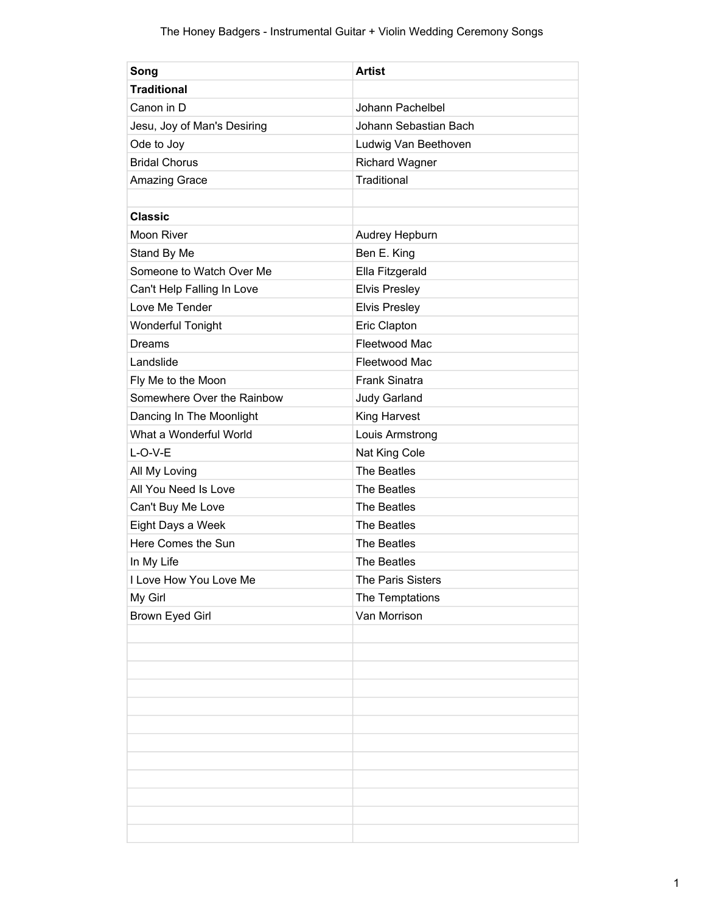| Song                        | <b>Artist</b>         |
|-----------------------------|-----------------------|
| <b>Traditional</b>          |                       |
| Canon in D                  | Johann Pachelbel      |
| Jesu, Joy of Man's Desiring | Johann Sebastian Bach |
| Ode to Joy                  | Ludwig Van Beethoven  |
| <b>Bridal Chorus</b>        | <b>Richard Wagner</b> |
| <b>Amazing Grace</b>        | Traditional           |
|                             |                       |
| <b>Classic</b>              |                       |
| Moon River                  | Audrey Hepburn        |
| Stand By Me                 | Ben E. King           |
| Someone to Watch Over Me    | Ella Fitzgerald       |
| Can't Help Falling In Love  | <b>Elvis Presley</b>  |
| Love Me Tender              | <b>Elvis Presley</b>  |
| <b>Wonderful Tonight</b>    | Eric Clapton          |
| Dreams                      | Fleetwood Mac         |
| Landslide                   | Fleetwood Mac         |
| Fly Me to the Moon          | <b>Frank Sinatra</b>  |
| Somewhere Over the Rainbow  | Judy Garland          |
| Dancing In The Moonlight    | King Harvest          |
| What a Wonderful World      | Louis Armstrong       |
| $L-O-V-E$                   | Nat King Cole         |
| All My Loving               | The Beatles           |
| All You Need Is Love        | The Beatles           |
| Can't Buy Me Love           | The Beatles           |
| Eight Days a Week           | The Beatles           |
| Here Comes the Sun          | The Beatles           |
| In My Life                  | The Beatles           |
| I Love How You Love Me      | The Paris Sisters     |
| My Girl                     | The Temptations       |
| <b>Brown Eyed Girl</b>      | Van Morrison          |
|                             |                       |
|                             |                       |
|                             |                       |
|                             |                       |
|                             |                       |
|                             |                       |
|                             |                       |
|                             |                       |
|                             |                       |
|                             |                       |
|                             |                       |
|                             |                       |